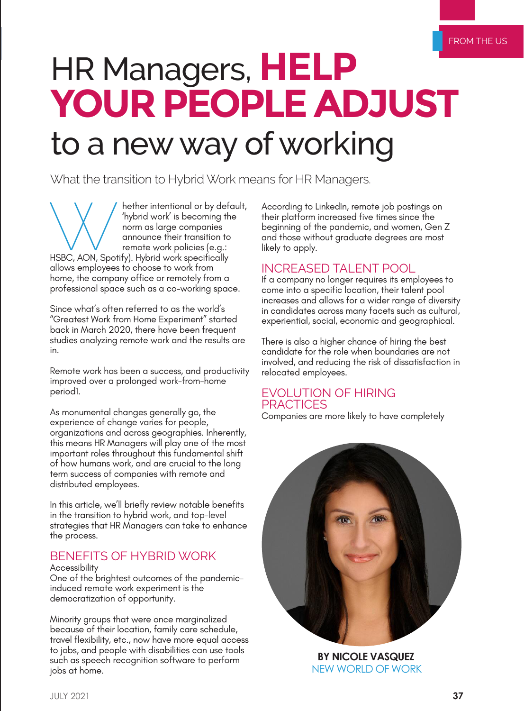# HR Managers, **HELP YOUR PEOPLE ADJUST** to a new way of working

What the transition to Hybrid Work means for HR Managers.

Whether intentional or by default,<br>
"hybrid work" is becoming the<br>
norm as large companies<br>
announce their transition to<br>
remote work policies (e.g.:<br>
HSBC, AON, Spotify). Hybrid work specifically 'hybrid work' is becoming the norm as large companies announce their transition to remote work policies (e.g.: allows employees to choose to work from home, the company office or remotely from a professional space such as a co-working space.

Since what's often referred to as the world's "Greatest Work from Home Experiment" started back in March 2020, there have been frequent studies analyzing remote work and the results are in.

Remote work has been a success, and productivity improved over a prolonged work-from-home period1.

As monumental changes generally go, the experience of change varies for people, organizations and across geographies. Inherently, this means HR Managers will play one of the most important roles throughout this fundamental shift of how humans work, and are crucial to the long term success of companies with remote and distributed employees.

In this article, we'll briefly review notable benefits in the transition to hybrid work, and top-level strategies that HR Managers can take to enhance the process.

# BENEFITS OF HYBRID WORK

**Accessibility** 

One of the brightest outcomes of the pandemicinduced remote work experiment is the democratization of opportunity.

Minority groups that were once marginalized because of their location, family care schedule, travel flexibility, etc., now have more equal access to jobs, and people with disabilities can use tools such as speech recognition software to perform jobs at home.

According to LinkedIn, remote job postings on their platform increased five times since the beginning of the pandemic, and women, Gen Z and those without graduate degrees are most likely to apply.

## INCREASED TALENT POOL

If a company no longer requires its employees to come into a specific location, their talent pool increases and allows for a wider range of diversity in candidates across many facets such as cultural, experiential, social, economic and geographical.

There is also a higher chance of hiring the best candidate for the role when boundaries are not involved, and reducing the risk of dissatisfaction in relocated employees.

## EVOLUTION OF HIRING **PRACTICES**

Companies are more likely to have completely



**BY NICOLE VASQUEZ** NEW WORLD OF WORK